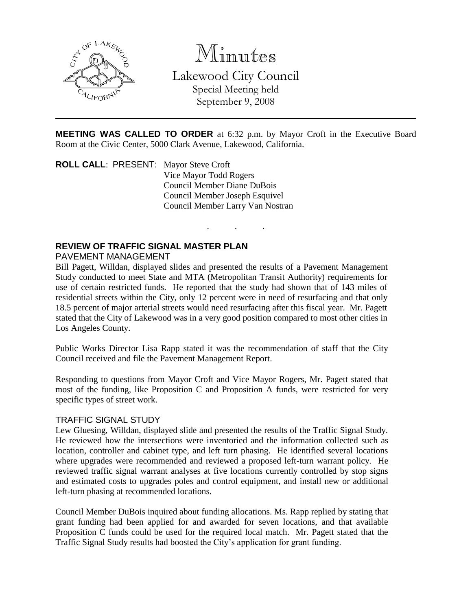

Minutes

Lakewood City Council Special Meeting held September 9, 2008

**MEETING WAS CALLED TO ORDER** at 6:32 p.m. by Mayor Croft in the Executive Board Room at the Civic Center, 5000 Clark Avenue, Lakewood, California.

. . .

**ROLL CALL**: PRESENT: Mayor Steve Croft Vice Mayor Todd Rogers Council Member Diane DuBois Council Member Joseph Esquivel Council Member Larry Van Nostran

# **REVIEW OF TRAFFIC SIGNAL MASTER PLAN**

#### PAVEMENT MANAGEMENT

Bill Pagett, Willdan, displayed slides and presented the results of a Pavement Management Study conducted to meet State and MTA (Metropolitan Transit Authority) requirements for use of certain restricted funds. He reported that the study had shown that of 143 miles of residential streets within the City, only 12 percent were in need of resurfacing and that only 18.5 percent of major arterial streets would need resurfacing after this fiscal year. Mr. Pagett stated that the City of Lakewood was in a very good position compared to most other cities in Los Angeles County.

Public Works Director Lisa Rapp stated it was the recommendation of staff that the City Council received and file the Pavement Management Report.

Responding to questions from Mayor Croft and Vice Mayor Rogers, Mr. Pagett stated that most of the funding, like Proposition C and Proposition A funds, were restricted for very specific types of street work.

### TRAFFIC SIGNAL STUDY

Lew Gluesing, Willdan, displayed slide and presented the results of the Traffic Signal Study. He reviewed how the intersections were inventoried and the information collected such as location, controller and cabinet type, and left turn phasing. He identified several locations where upgrades were recommended and reviewed a proposed left-turn warrant policy. He reviewed traffic signal warrant analyses at five locations currently controlled by stop signs and estimated costs to upgrades poles and control equipment, and install new or additional left-turn phasing at recommended locations.

Council Member DuBois inquired about funding allocations. Ms. Rapp replied by stating that grant funding had been applied for and awarded for seven locations, and that available Proposition C funds could be used for the required local match. Mr. Pagett stated that the Traffic Signal Study results had boosted the City's application for grant funding.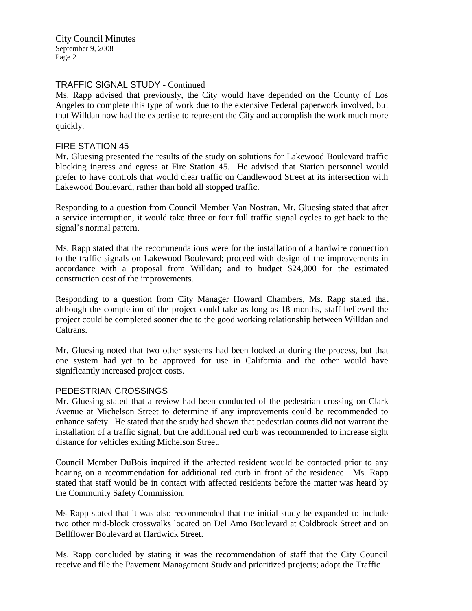City Council Minutes September 9, 2008 Page 2

## TRAFFIC SIGNAL STUDY - Continued

Ms. Rapp advised that previously, the City would have depended on the County of Los Angeles to complete this type of work due to the extensive Federal paperwork involved, but that Willdan now had the expertise to represent the City and accomplish the work much more quickly.

#### FIRE STATION 45

Mr. Gluesing presented the results of the study on solutions for Lakewood Boulevard traffic blocking ingress and egress at Fire Station 45. He advised that Station personnel would prefer to have controls that would clear traffic on Candlewood Street at its intersection with Lakewood Boulevard, rather than hold all stopped traffic.

Responding to a question from Council Member Van Nostran, Mr. Gluesing stated that after a service interruption, it would take three or four full traffic signal cycles to get back to the signal's normal pattern.

Ms. Rapp stated that the recommendations were for the installation of a hardwire connection to the traffic signals on Lakewood Boulevard; proceed with design of the improvements in accordance with a proposal from Willdan; and to budget \$24,000 for the estimated construction cost of the improvements.

Responding to a question from City Manager Howard Chambers, Ms. Rapp stated that although the completion of the project could take as long as 18 months, staff believed the project could be completed sooner due to the good working relationship between Willdan and Caltrans.

Mr. Gluesing noted that two other systems had been looked at during the process, but that one system had yet to be approved for use in California and the other would have significantly increased project costs.

#### PEDESTRIAN CROSSINGS

Mr. Gluesing stated that a review had been conducted of the pedestrian crossing on Clark Avenue at Michelson Street to determine if any improvements could be recommended to enhance safety. He stated that the study had shown that pedestrian counts did not warrant the installation of a traffic signal, but the additional red curb was recommended to increase sight distance for vehicles exiting Michelson Street.

Council Member DuBois inquired if the affected resident would be contacted prior to any hearing on a recommendation for additional red curb in front of the residence. Ms. Rapp stated that staff would be in contact with affected residents before the matter was heard by the Community Safety Commission.

Ms Rapp stated that it was also recommended that the initial study be expanded to include two other mid-block crosswalks located on Del Amo Boulevard at Coldbrook Street and on Bellflower Boulevard at Hardwick Street.

Ms. Rapp concluded by stating it was the recommendation of staff that the City Council receive and file the Pavement Management Study and prioritized projects; adopt the Traffic